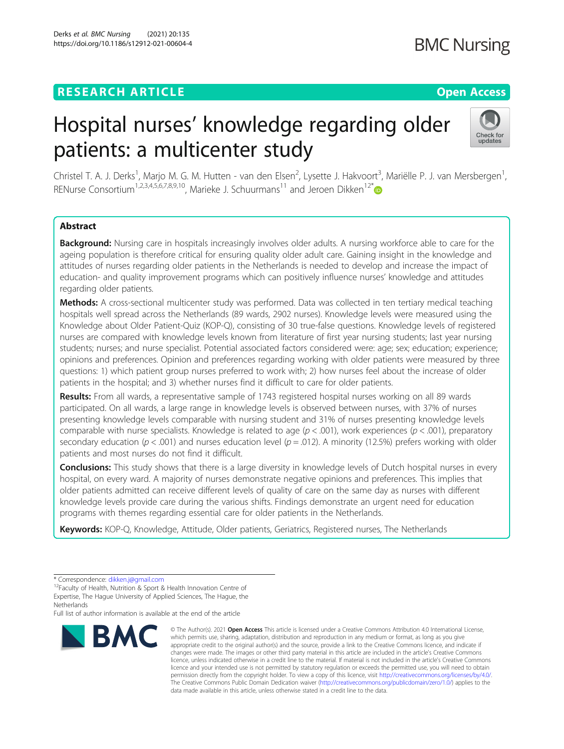# **RESEARCH ARTICLE Example 2014 12:30 The Contract of Contract ACCESS**

# Hospital nurses' knowledge regarding older patients: a multicenter study



Christel T. A. J. Derks<sup>1</sup>, Marjo M. G. M. Hutten - van den Elsen<sup>2</sup>, Lysette J. Hakvoort<sup>3</sup>, Mariëlle P. J. van Mersbergen<sup>1</sup> , RENurse Consortium<sup>1,2,3,4,5,6,7,8,9,10</sup>, Marieke J. Schuurmans<sup>11</sup> and Jeroen Dikken<sup>12\*</sup>

# Abstract

Background: Nursing care in hospitals increasingly involves older adults. A nursing workforce able to care for the ageing population is therefore critical for ensuring quality older adult care. Gaining insight in the knowledge and attitudes of nurses regarding older patients in the Netherlands is needed to develop and increase the impact of education- and quality improvement programs which can positively influence nurses' knowledge and attitudes regarding older patients.

Methods: A cross-sectional multicenter study was performed. Data was collected in ten tertiary medical teaching hospitals well spread across the Netherlands (89 wards, 2902 nurses). Knowledge levels were measured using the Knowledge about Older Patient-Quiz (KOP-Q), consisting of 30 true-false questions. Knowledge levels of registered nurses are compared with knowledge levels known from literature of first year nursing students; last year nursing students; nurses; and nurse specialist. Potential associated factors considered were: age; sex; education; experience; opinions and preferences. Opinion and preferences regarding working with older patients were measured by three questions: 1) which patient group nurses preferred to work with; 2) how nurses feel about the increase of older patients in the hospital; and 3) whether nurses find it difficult to care for older patients.

Results: From all wards, a representative sample of 1743 registered hospital nurses working on all 89 wards participated. On all wards, a large range in knowledge levels is observed between nurses, with 37% of nurses presenting knowledge levels comparable with nursing student and 31% of nurses presenting knowledge levels comparable with nurse specialists. Knowledge is related to age ( $p < .001$ ), work experiences ( $p < .001$ ), preparatory secondary education ( $p < .001$ ) and nurses education level ( $p = .012$ ). A minority (12.5%) prefers working with older patients and most nurses do not find it difficult.

Conclusions: This study shows that there is a large diversity in knowledge levels of Dutch hospital nurses in every hospital, on every ward. A majority of nurses demonstrate negative opinions and preferences. This implies that older patients admitted can receive different levels of quality of care on the same day as nurses with different knowledge levels provide care during the various shifts. Findings demonstrate an urgent need for education programs with themes regarding essential care for older patients in the Netherlands.

Keywords: KOP-Q, Knowledge, Attitude, Older patients, Geriatrics, Registered nurses, The Netherlands

Full list of author information is available at the end of the article



<sup>©</sup> The Author(s), 2021 **Open Access** This article is licensed under a Creative Commons Attribution 4.0 International License, which permits use, sharing, adaptation, distribution and reproduction in any medium or format, as long as you give appropriate credit to the original author(s) and the source, provide a link to the Creative Commons licence, and indicate if changes were made. The images or other third party material in this article are included in the article's Creative Commons licence, unless indicated otherwise in a credit line to the material. If material is not included in the article's Creative Commons licence and your intended use is not permitted by statutory regulation or exceeds the permitted use, you will need to obtain permission directly from the copyright holder. To view a copy of this licence, visit [http://creativecommons.org/licenses/by/4.0/.](http://creativecommons.org/licenses/by/4.0/) The Creative Commons Public Domain Dedication waiver [\(http://creativecommons.org/publicdomain/zero/1.0/](http://creativecommons.org/publicdomain/zero/1.0/)) applies to the data made available in this article, unless otherwise stated in a credit line to the data.

 $*$  Correspondence: [dikken.j@gmail.com](mailto:dikken.j@gmail.com)<br><sup>12</sup>Faculty of Health, Nutrition & Sport & Health Innovation Centre of Expertise, The Hague University of Applied Sciences, The Hague, the **Netherlands**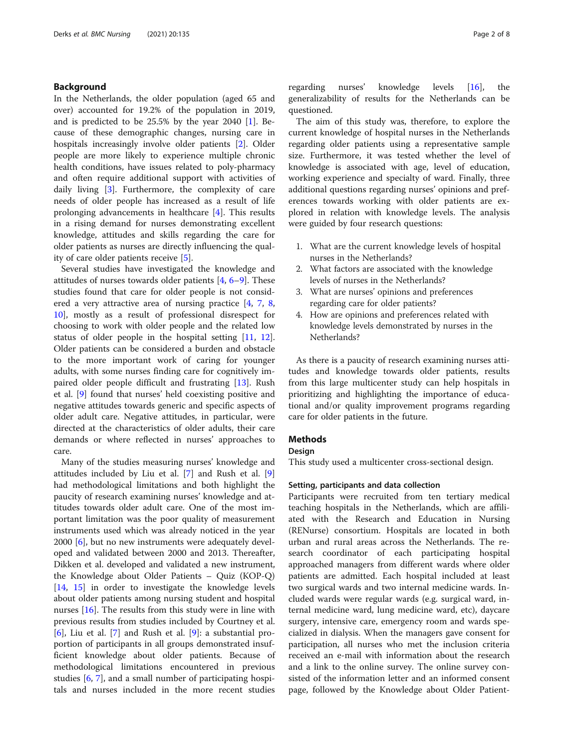# Background

In the Netherlands, the older population (aged 65 and over) accounted for 19.2% of the population in 2019, and is predicted to be 25.5% by the year 2040 [\[1](#page-7-0)]. Because of these demographic changes, nursing care in hospitals increasingly involve older patients [[2\]](#page-7-0). Older people are more likely to experience multiple chronic health conditions, have issues related to poly-pharmacy and often require additional support with activities of daily living [\[3](#page-7-0)]. Furthermore, the complexity of care needs of older people has increased as a result of life prolonging advancements in healthcare [[4\]](#page-7-0). This results in a rising demand for nurses demonstrating excellent knowledge, attitudes and skills regarding the care for older patients as nurses are directly influencing the quality of care older patients receive [[5\]](#page-7-0).

Several studies have investigated the knowledge and attitudes of nurses towards older patients  $[4, 6-9]$  $[4, 6-9]$  $[4, 6-9]$  $[4, 6-9]$  $[4, 6-9]$ . These studies found that care for older people is not considered a very attractive area of nursing practice [\[4](#page-7-0), [7,](#page-7-0) [8](#page-7-0), [10\]](#page-7-0), mostly as a result of professional disrespect for choosing to work with older people and the related low status of older people in the hospital setting [[11](#page-7-0), [12](#page-7-0)]. Older patients can be considered a burden and obstacle to the more important work of caring for younger adults, with some nurses finding care for cognitively impaired older people difficult and frustrating [\[13](#page-7-0)]. Rush et al. [[9\]](#page-7-0) found that nurses' held coexisting positive and negative attitudes towards generic and specific aspects of older adult care. Negative attitudes, in particular, were directed at the characteristics of older adults, their care demands or where reflected in nurses' approaches to care.

Many of the studies measuring nurses' knowledge and attitudes included by Liu et al. [[7\]](#page-7-0) and Rush et al. [\[9](#page-7-0)] had methodological limitations and both highlight the paucity of research examining nurses' knowledge and attitudes towards older adult care. One of the most important limitation was the poor quality of measurement instruments used which was already noticed in the year 2000 [\[6](#page-7-0)], but no new instruments were adequately developed and validated between 2000 and 2013. Thereafter, Dikken et al. developed and validated a new instrument, the Knowledge about Older Patients – Quiz (KOP-Q) [[14,](#page-7-0) [15](#page-7-0)] in order to investigate the knowledge levels about older patients among nursing student and hospital nurses [\[16](#page-7-0)]. The results from this study were in line with previous results from studies included by Courtney et al. [[6\]](#page-7-0), Liu et al. [\[7](#page-7-0)] and Rush et al. [[9\]](#page-7-0): a substantial proportion of participants in all groups demonstrated insufficient knowledge about older patients. Because of methodological limitations encountered in previous studies [\[6](#page-7-0), [7](#page-7-0)], and a small number of participating hospitals and nurses included in the more recent studies regarding nurses' knowledge levels [[16](#page-7-0)], the generalizability of results for the Netherlands can be questioned.

The aim of this study was, therefore, to explore the current knowledge of hospital nurses in the Netherlands regarding older patients using a representative sample size. Furthermore, it was tested whether the level of knowledge is associated with age, level of education, working experience and specialty of ward. Finally, three additional questions regarding nurses' opinions and preferences towards working with older patients are explored in relation with knowledge levels. The analysis were guided by four research questions:

- 1. What are the current knowledge levels of hospital nurses in the Netherlands?
- 2. What factors are associated with the knowledge levels of nurses in the Netherlands?
- 3. What are nurses' opinions and preferences regarding care for older patients?
- 4. How are opinions and preferences related with knowledge levels demonstrated by nurses in the Netherlands?

As there is a paucity of research examining nurses attitudes and knowledge towards older patients, results from this large multicenter study can help hospitals in prioritizing and highlighting the importance of educational and/or quality improvement programs regarding care for older patients in the future.

# **Methods**

# Design

This study used a multicenter cross-sectional design.

# Setting, participants and data collection

Participants were recruited from ten tertiary medical teaching hospitals in the Netherlands, which are affiliated with the Research and Education in Nursing (RENurse) consortium. Hospitals are located in both urban and rural areas across the Netherlands. The research coordinator of each participating hospital approached managers from different wards where older patients are admitted. Each hospital included at least two surgical wards and two internal medicine wards. Included wards were regular wards (e.g. surgical ward, internal medicine ward, lung medicine ward, etc), daycare surgery, intensive care, emergency room and wards specialized in dialysis. When the managers gave consent for participation, all nurses who met the inclusion criteria received an e-mail with information about the research and a link to the online survey. The online survey consisted of the information letter and an informed consent page, followed by the Knowledge about Older Patient-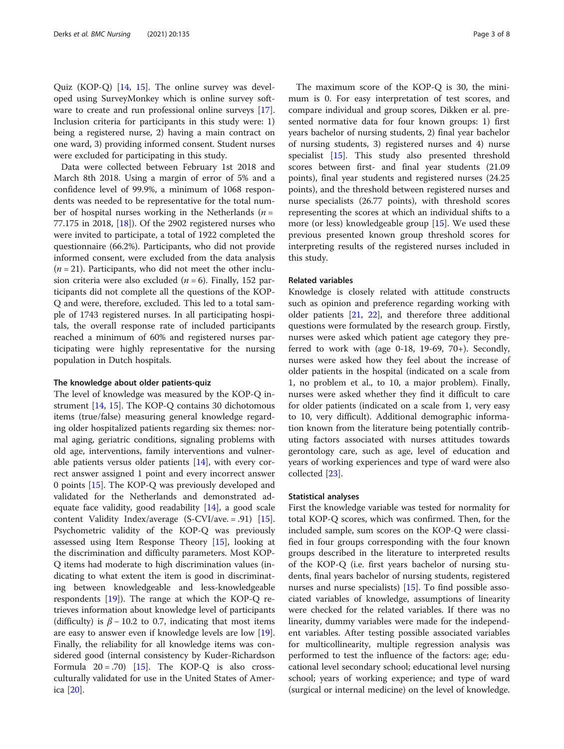Quiz (KOP-Q) [[14,](#page-7-0) [15](#page-7-0)]. The online survey was developed using SurveyMonkey which is online survey software to create and run professional online surveys [\[17](#page-7-0)]. Inclusion criteria for participants in this study were: 1) being a registered nurse, 2) having a main contract on one ward, 3) providing informed consent. Student nurses were excluded for participating in this study.

Data were collected between February 1st 2018 and March 8th 2018. Using a margin of error of 5% and a confidence level of 99.9%, a minimum of 1068 respondents was needed to be representative for the total number of hospital nurses working in the Netherlands ( $n =$ 77.175 in 2018, [\[18\]](#page-7-0)). Of the 2902 registered nurses who were invited to participate, a total of 1922 completed the questionnaire (66.2%). Participants, who did not provide informed consent, were excluded from the data analysis  $(n = 21)$ . Participants, who did not meet the other inclusion criteria were also excluded ( $n = 6$ ). Finally, 152 participants did not complete all the questions of the KOP-Q and were, therefore, excluded. This led to a total sample of 1743 registered nurses. In all participating hospitals, the overall response rate of included participants reached a minimum of 60% and registered nurses participating were highly representative for the nursing population in Dutch hospitals.

# The knowledge about older patients-quiz

The level of knowledge was measured by the KOP-Q instrument [\[14,](#page-7-0) [15](#page-7-0)]. The KOP-Q contains 30 dichotomous items (true/false) measuring general knowledge regarding older hospitalized patients regarding six themes: normal aging, geriatric conditions, signaling problems with old age, interventions, family interventions and vulnerable patients versus older patients [\[14](#page-7-0)], with every correct answer assigned 1 point and every incorrect answer 0 points [\[15](#page-7-0)]. The KOP-Q was previously developed and validated for the Netherlands and demonstrated adequate face validity, good readability [\[14](#page-7-0)], a good scale content Validity Index/average (S-CVI/ave. = .91) [\[15](#page-7-0)]. Psychometric validity of the KOP-Q was previously assessed using Item Response Theory [\[15](#page-7-0)], looking at the discrimination and difficulty parameters. Most KOP-Q items had moderate to high discrimination values (indicating to what extent the item is good in discriminating between knowledgeable and less-knowledgeable respondents  $[19]$  $[19]$ ). The range at which the KOP-Q retrieves information about knowledge level of participants (difficulty) is  $\beta$  – 10.2 to 0.7, indicating that most items are easy to answer even if knowledge levels are low [\[19](#page-7-0)]. Finally, the reliability for all knowledge items was considered good (internal consistency by Kuder-Richardson Formula  $20 = .70$  [[15\]](#page-7-0). The KOP-Q is also crossculturally validated for use in the United States of America [\[20\]](#page-7-0).

The maximum score of the KOP-Q is 30, the minimum is 0. For easy interpretation of test scores, and compare individual and group scores, Dikken er al. presented normative data for four known groups: 1) first years bachelor of nursing students, 2) final year bachelor of nursing students, 3) registered nurses and 4) nurse specialist [\[15\]](#page-7-0). This study also presented threshold scores between first- and final year students (21.09 points), final year students and registered nurses (24.25 points), and the threshold between registered nurses and nurse specialists (26.77 points), with threshold scores representing the scores at which an individual shifts to a more (or less) knowledgeable group  $[15]$  $[15]$ . We used these previous presented known group threshold scores for interpreting results of the registered nurses included in this study.

# Related variables

Knowledge is closely related with attitude constructs such as opinion and preference regarding working with older patients [[21](#page-7-0), [22\]](#page-7-0), and therefore three additional questions were formulated by the research group. Firstly, nurses were asked which patient age category they preferred to work with (age  $0-18$ ,  $19-69$ ,  $70+$ ). Secondly, nurses were asked how they feel about the increase of older patients in the hospital (indicated on a scale from 1, no problem et al., to 10, a major problem). Finally, nurses were asked whether they find it difficult to care for older patients (indicated on a scale from 1, very easy to 10, very difficult). Additional demographic information known from the literature being potentially contributing factors associated with nurses attitudes towards gerontology care, such as age, level of education and years of working experiences and type of ward were also collected [[23\]](#page-7-0).

# Statistical analyses

First the knowledge variable was tested for normality for total KOP-Q scores, which was confirmed. Then, for the included sample, sum scores on the KOP-Q were classified in four groups corresponding with the four known groups described in the literature to interpreted results of the KOP-Q (i.e. first years bachelor of nursing students, final years bachelor of nursing students, registered nurses and nurse specialists) [\[15\]](#page-7-0). To find possible associated variables of knowledge, assumptions of linearity were checked for the related variables. If there was no linearity, dummy variables were made for the independent variables. After testing possible associated variables for multicollinearity, multiple regression analysis was performed to test the influence of the factors: age; educational level secondary school; educational level nursing school; years of working experience; and type of ward (surgical or internal medicine) on the level of knowledge.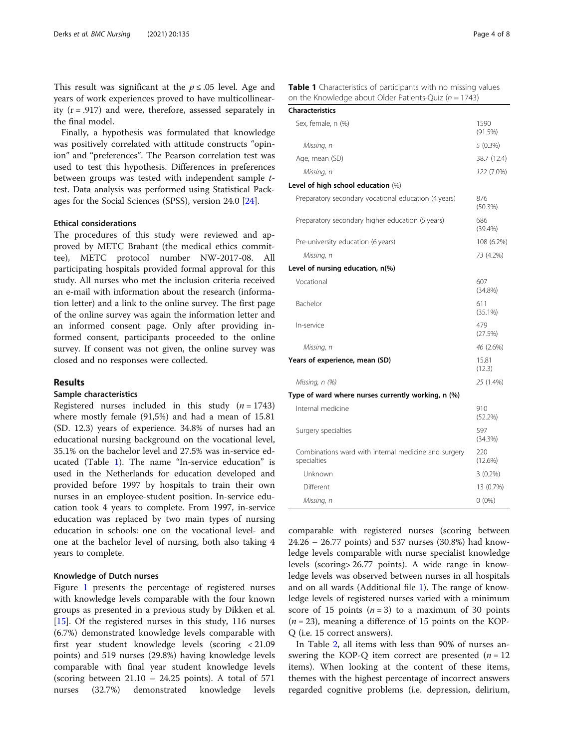This result was significant at the  $p \le 0.05$  level. Age and years of work experiences proved to have multicollinearity  $(r = .917)$  and were, therefore, assessed separately in the final model.

Finally, a hypothesis was formulated that knowledge was positively correlated with attitude constructs "opinion" and "preferences". The Pearson correlation test was used to test this hypothesis. Differences in preferences between groups was tested with independent sample ttest. Data analysis was performed using Statistical Packages for the Social Sciences (SPSS), version 24.0 [[24\]](#page-7-0).

# Ethical considerations

The procedures of this study were reviewed and approved by METC Brabant (the medical ethics committee), METC protocol number NW-2017-08. All participating hospitals provided formal approval for this study. All nurses who met the inclusion criteria received an e-mail with information about the research (information letter) and a link to the online survey. The first page of the online survey was again the information letter and an informed consent page. Only after providing informed consent, participants proceeded to the online survey. If consent was not given, the online survey was closed and no responses were collected.

# Results

# Sample characteristics

Registered nurses included in this study  $(n = 1743)$ where mostly female (91,5%) and had a mean of 15.81 (SD. 12.3) years of experience. 34.8% of nurses had an educational nursing background on the vocational level, 35.1% on the bachelor level and 27.5% was in-service educated (Table 1). The name "In-service education" is used in the Netherlands for education developed and provided before 1997 by hospitals to train their own nurses in an employee-student position. In-service education took 4 years to complete. From 1997, in-service education was replaced by two main types of nursing education in schools: one on the vocational level- and one at the bachelor level of nursing, both also taking 4 years to complete.

# Knowledge of Dutch nurses

Figure [1](#page-4-0) presents the percentage of registered nurses with knowledge levels comparable with the four known groups as presented in a previous study by Dikken et al. [[15\]](#page-7-0). Of the registered nurses in this study, 116 nurses (6.7%) demonstrated knowledge levels comparable with first year student knowledge levels (scoring < 21.09 points) and 519 nurses (29.8%) having knowledge levels comparable with final year student knowledge levels (scoring between  $21.10 - 24.25$  points). A total of 571 nurses (32.7%) demonstrated knowledge levels

| . |                                                                |
|---|----------------------------------------------------------------|
|   | on the Knowledge about Older Patients-Quiz ( $n = 1743$ )      |
|   | Table 1 Characteristics of participants with no missing values |

| <b>Characteristics</b>                                              |                   |
|---------------------------------------------------------------------|-------------------|
| Sex, female, n (%)                                                  | 1590<br>(91.5%)   |
| Missing, n                                                          | 5(0.3%)           |
| Age, mean (SD)                                                      | 38.7 (12.4)       |
| Missing, n                                                          | 122 (7.0%)        |
| Level of high school education (%)                                  |                   |
| Preparatory secondary vocational education (4 years)                | 876<br>(50.3%)    |
| Preparatory secondary higher education (5 years)                    | 686<br>$(39.4\%)$ |
| Pre-university education (6 years)                                  | 108 (6.2%)        |
| Missing, n                                                          | 73 (4.2%)         |
| Level of nursing education, n(%)                                    |                   |
| Vocational                                                          | 607<br>(34.8%)    |
| Bachelor                                                            | 611<br>$(35.1\%)$ |
| In-service                                                          | 479<br>(27.5%)    |
| Missing, n                                                          | 46 (2.6%)         |
| Years of experience, mean (SD)                                      | 15.81<br>(12.3)   |
| Missing, n (%)                                                      | 25 (1.4%)         |
| Type of ward where nurses currently working, n (%)                  |                   |
| Internal medicine                                                   | 910<br>(52.2%)    |
| Surgery specialties                                                 | 597<br>(34.3%)    |
| Combinations ward with internal medicine and surgery<br>specialties | 220<br>(12.6%)    |
| Unknown                                                             | $3(0.2\%)$        |
| Different                                                           | 13 (0.7%)         |
| Missing, n                                                          | $0(0\%)$          |

comparable with registered nurses (scoring between 24.26 – 26.77 points) and 537 nurses (30.8%) had knowledge levels comparable with nurse specialist knowledge levels (scoring> 26.77 points). A wide range in knowledge levels was observed between nurses in all hospitals and on all wards (Additional file [1](#page-6-0)). The range of knowledge levels of registered nurses varied with a minimum score of 15 points  $(n=3)$  to a maximum of 30 points  $(n = 23)$ , meaning a difference of 15 points on the KOP-Q (i.e. 15 correct answers).

In Table [2,](#page-4-0) all items with less than 90% of nurses answering the KOP-Q item correct are presented  $(n = 12)$ items). When looking at the content of these items, themes with the highest percentage of incorrect answers regarded cognitive problems (i.e. depression, delirium,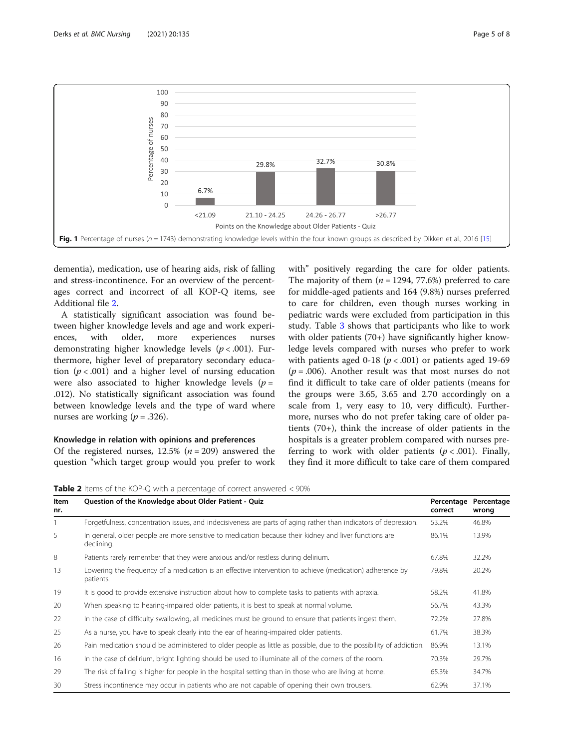<span id="page-4-0"></span>

dementia), medication, use of hearing aids, risk of falling and stress-incontinence. For an overview of the percentages correct and incorrect of all KOP-Q items, see Additional file [2](#page-6-0).

A statistically significant association was found between higher knowledge levels and age and work experiences, with older, more experiences nurses demonstrating higher knowledge levels ( $p < .001$ ). Furthermore, higher level of preparatory secondary education ( $p < .001$ ) and a higher level of nursing education were also associated to higher knowledge levels ( $p =$ .012). No statistically significant association was found between knowledge levels and the type of ward where nurses are working  $(p = .326)$ .

# Knowledge in relation with opinions and preferences

Of the registered nurses,  $12.5\%$  ( $n = 209$ ) answered the question "which target group would you prefer to work with" positively regarding the care for older patients. The majority of them  $(n = 1294, 77.6%)$  preferred to care for middle-aged patients and 164 (9.8%) nurses preferred to care for children, even though nurses working in pediatric wards were excluded from participation in this study. Table [3](#page-5-0) shows that participants who like to work with older patients (70+) have significantly higher knowledge levels compared with nurses who prefer to work with patients aged 0-18 ( $p < .001$ ) or patients aged 19-69  $(p = .006)$ . Another result was that most nurses do not find it difficult to take care of older patients (means for the groups were 3.65, 3.65 and 2.70 accordingly on a scale from 1, very easy to 10, very difficult). Furthermore, nurses who do not prefer taking care of older patients (70+), think the increase of older patients in the hospitals is a greater problem compared with nurses preferring to work with older patients ( $p < .001$ ). Finally, they find it more difficult to take care of them compared

**Table 2** Items of the KOP-O with a percentage of correct answered  $\lt$  90%

| Item<br>nr. | Question of the Knowledge about Older Patient - Quiz                                                                  | Percentage<br>correct | Percentage<br>wrong |
|-------------|-----------------------------------------------------------------------------------------------------------------------|-----------------------|---------------------|
|             | Forgetfulness, concentration issues, and indecisiveness are parts of aging rather than indicators of depression.      | 53.2%                 | 46.8%               |
| 5           | In general, older people are more sensitive to medication because their kidney and liver functions are<br>declining.  | 86.1%                 | 13.9%               |
| 8           | Patients rarely remember that they were anxious and/or restless during delirium.                                      | 67.8%                 | 32.2%               |
| 13          | Lowering the frequency of a medication is an effective intervention to achieve (medication) adherence by<br>patients. | 79.8%                 | 20.2%               |
| 19          | It is good to provide extensive instruction about how to complete tasks to patients with apraxia.                     | 58.2%                 | 41.8%               |
| 20          | When speaking to hearing-impaired older patients, it is best to speak at normal volume.                               | 56.7%                 | 43.3%               |
| 22          | In the case of difficulty swallowing, all medicines must be ground to ensure that patients ingest them.               | 72.2%                 | 27.8%               |
| 25          | As a nurse, you have to speak clearly into the ear of hearing-impaired older patients.                                | 61.7%                 | 38.3%               |
| 26          | Pain medication should be administered to older people as little as possible, due to the possibility of addiction.    | 86.9%                 | 13.1%               |
| 16          | In the case of delirium, bright lighting should be used to illuminate all of the corners of the room.                 | 70.3%                 | 29.7%               |
| 29          | The risk of falling is higher for people in the hospital setting than in those who are living at home.                | 65.3%                 | 34.7%               |
| 30          | Stress incontinence may occur in patients who are not capable of opening their own trousers.                          | 62.9%                 | 37.1%               |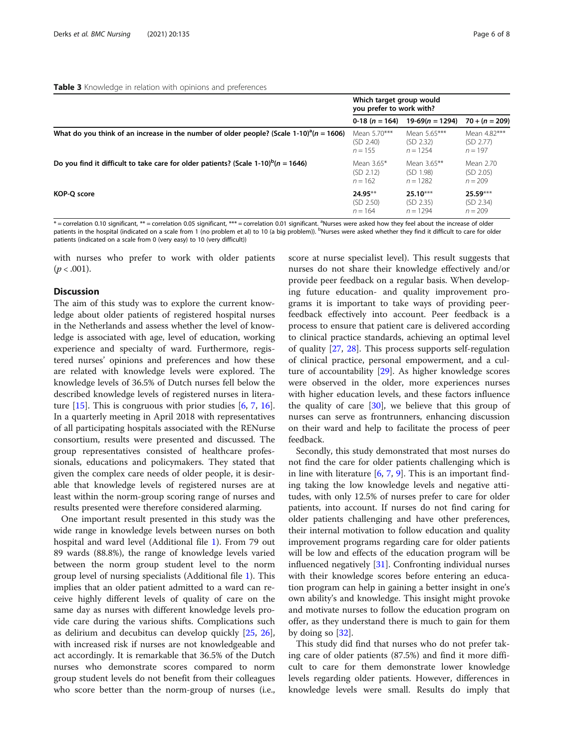<span id="page-5-0"></span>

|                                                                                                                                                                                         | Which target group would<br>you prefer to work with? |                   |                  |
|-----------------------------------------------------------------------------------------------------------------------------------------------------------------------------------------|------------------------------------------------------|-------------------|------------------|
|                                                                                                                                                                                         | 0-18 $(n = 164)$                                     | $19-69(n = 1294)$ | $70 + (n = 209)$ |
| What do you think of an increase in the number of older people? (Scale 1-10) <sup>a</sup> $(n = 1606)$                                                                                  | Mean 5.70***                                         | Mean 5.65***      | Mean 4.82***     |
|                                                                                                                                                                                         | (SD 2.40)                                            | (SD 2.32)         | (SD 2.77)        |
|                                                                                                                                                                                         | $n = 155$                                            | $n = 1254$        | $n = 197$        |
| Do you find it difficult to take care for older patients? (Scale 1-10) $P(n = 1646)$                                                                                                    | Mean 3.65*                                           | Mean 3.65**       | Mean 2.70        |
|                                                                                                                                                                                         | (SD 2.12)                                            | (SD 1.98)         | (SD 2.05)        |
|                                                                                                                                                                                         | $n = 162$                                            | $n = 1282$        | $n = 209$        |
| KOP-O score                                                                                                                                                                             | $24.95***$                                           | $25.10***$        | $25.59***$       |
|                                                                                                                                                                                         | (SD 2.50)                                            | (SD 2.35)         | (SD 2.34)        |
|                                                                                                                                                                                         | $n = 164$                                            | $n = 1294$        | $n = 209$        |
| $*$ = correlation 0.10 significant, $**$ = correlation 0.05 significant, $***$ = correlation 0.01 significant. <sup>a</sup> Nurses were asked how they feel about the increase of older |                                                      |                   |                  |

patients in the hospital (indicated on a scale from 1 (no problem et al) to 10 (a big problem)). <sup>b</sup>Nurses were asked whether they find it difficult to care for older patients (indicated on a scale from 0 (very easy) to 10 (very difficult))

with nurses who prefer to work with older patients  $(p < .001)$ .

# **Discussion**

The aim of this study was to explore the current knowledge about older patients of registered hospital nurses in the Netherlands and assess whether the level of knowledge is associated with age, level of education, working experience and specialty of ward. Furthermore, registered nurses' opinions and preferences and how these are related with knowledge levels were explored. The knowledge levels of 36.5% of Dutch nurses fell below the described knowledge levels of registered nurses in literature  $[15]$  $[15]$ . This is congruous with prior studies  $[6, 7, 16]$  $[6, 7, 16]$  $[6, 7, 16]$  $[6, 7, 16]$  $[6, 7, 16]$  $[6, 7, 16]$  $[6, 7, 16]$ . In a quarterly meeting in April 2018 with representatives of all participating hospitals associated with the RENurse consortium, results were presented and discussed. The group representatives consisted of healthcare professionals, educations and policymakers. They stated that given the complex care needs of older people, it is desirable that knowledge levels of registered nurses are at least within the norm-group scoring range of nurses and results presented were therefore considered alarming.

One important result presented in this study was the wide range in knowledge levels between nurses on both hospital and ward level (Additional file [1](#page-6-0)). From 79 out 89 wards (88.8%), the range of knowledge levels varied between the norm group student level to the norm group level of nursing specialists (Additional file [1\)](#page-6-0). This implies that an older patient admitted to a ward can receive highly different levels of quality of care on the same day as nurses with different knowledge levels provide care during the various shifts. Complications such as delirium and decubitus can develop quickly [\[25](#page-7-0), [26](#page-7-0)], with increased risk if nurses are not knowledgeable and act accordingly. It is remarkable that 36.5% of the Dutch nurses who demonstrate scores compared to norm group student levels do not benefit from their colleagues who score better than the norm-group of nurses (i.e.,

score at nurse specialist level). This result suggests that nurses do not share their knowledge effectively and/or provide peer feedback on a regular basis. When developing future education- and quality improvement programs it is important to take ways of providing peerfeedback effectively into account. Peer feedback is a process to ensure that patient care is delivered according to clinical practice standards, achieving an optimal level of quality [[27,](#page-7-0) [28](#page-7-0)]. This process supports self-regulation of clinical practice, personal empowerment, and a culture of accountability [[29](#page-7-0)]. As higher knowledge scores were observed in the older, more experiences nurses with higher education levels, and these factors influence the quality of care  $[30]$  $[30]$ , we believe that this group of nurses can serve as frontrunners, enhancing discussion on their ward and help to facilitate the process of peer feedback.

Secondly, this study demonstrated that most nurses do not find the care for older patients challenging which is in line with literature  $[6, 7, 9]$  $[6, 7, 9]$  $[6, 7, 9]$  $[6, 7, 9]$  $[6, 7, 9]$  $[6, 7, 9]$ . This is an important finding taking the low knowledge levels and negative attitudes, with only 12.5% of nurses prefer to care for older patients, into account. If nurses do not find caring for older patients challenging and have other preferences, their internal motivation to follow education and quality improvement programs regarding care for older patients will be low and effects of the education program will be influenced negatively [\[31](#page-7-0)]. Confronting individual nurses with their knowledge scores before entering an education program can help in gaining a better insight in one's own ability's and knowledge. This insight might provoke and motivate nurses to follow the education program on offer, as they understand there is much to gain for them by doing so [\[32\]](#page-7-0).

This study did find that nurses who do not prefer taking care of older patients (87.5%) and find it more difficult to care for them demonstrate lower knowledge levels regarding older patients. However, differences in knowledge levels were small. Results do imply that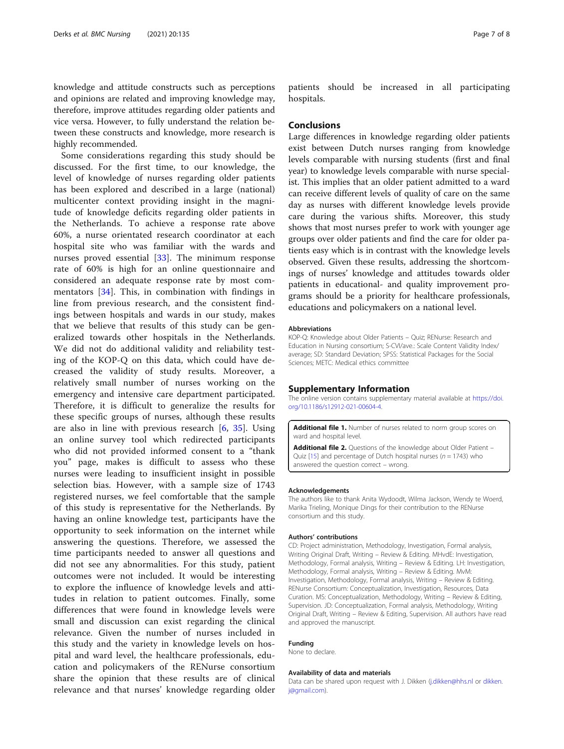<span id="page-6-0"></span>knowledge and attitude constructs such as perceptions and opinions are related and improving knowledge may, therefore, improve attitudes regarding older patients and vice versa. However, to fully understand the relation between these constructs and knowledge, more research is highly recommended.

Some considerations regarding this study should be discussed. For the first time, to our knowledge, the level of knowledge of nurses regarding older patients has been explored and described in a large (national) multicenter context providing insight in the magnitude of knowledge deficits regarding older patients in the Netherlands. To achieve a response rate above 60%, a nurse orientated research coordinator at each hospital site who was familiar with the wards and nurses proved essential [[33\]](#page-7-0). The minimum response rate of 60% is high for an online questionnaire and considered an adequate response rate by most commentators [[34\]](#page-7-0). This, in combination with findings in line from previous research, and the consistent findings between hospitals and wards in our study, makes that we believe that results of this study can be generalized towards other hospitals in the Netherlands. We did not do additional validity and reliability testing of the KOP-Q on this data, which could have decreased the validity of study results. Moreover, a relatively small number of nurses working on the emergency and intensive care department participated. Therefore, it is difficult to generalize the results for these specific groups of nurses, although these results are also in line with previous research  $[6, 35]$  $[6, 35]$  $[6, 35]$  $[6, 35]$ . Using an online survey tool which redirected participants who did not provided informed consent to a "thank you" page, makes is difficult to assess who these nurses were leading to insufficient insight in possible selection bias. However, with a sample size of 1743 registered nurses, we feel comfortable that the sample of this study is representative for the Netherlands. By having an online knowledge test, participants have the opportunity to seek information on the internet while answering the questions. Therefore, we assessed the time participants needed to answer all questions and did not see any abnormalities. For this study, patient outcomes were not included. It would be interesting to explore the influence of knowledge levels and attitudes in relation to patient outcomes. Finally, some differences that were found in knowledge levels were small and discussion can exist regarding the clinical relevance. Given the number of nurses included in this study and the variety in knowledge levels on hospital and ward level, the healthcare professionals, education and policymakers of the RENurse consortium share the opinion that these results are of clinical relevance and that nurses' knowledge regarding older

patients should be increased in all participating hospitals.

# **Conclusions**

Large differences in knowledge regarding older patients exist between Dutch nurses ranging from knowledge levels comparable with nursing students (first and final year) to knowledge levels comparable with nurse specialist. This implies that an older patient admitted to a ward can receive different levels of quality of care on the same day as nurses with different knowledge levels provide care during the various shifts. Moreover, this study shows that most nurses prefer to work with younger age groups over older patients and find the care for older patients easy which is in contrast with the knowledge levels observed. Given these results, addressing the shortcomings of nurses' knowledge and attitudes towards older patients in educational- and quality improvement programs should be a priority for healthcare professionals, educations and policymakers on a national level.

# Abbreviations

KOP-Q: Knowledge about Older Patients – Quiz; RENurse: Research and Education in Nursing consortium; S-CVI/ave.: Scale Content Validity Index/ average; SD: Standard Deviation; SPSS: Statistical Packages for the Social Sciences; METC: Medical ethics committee

# Supplementary Information

The online version contains supplementary material available at [https://doi.](https://doi.org/10.1186/s12912-021-00604-4) [org/10.1186/s12912-021-00604-4.](https://doi.org/10.1186/s12912-021-00604-4)

Additional file 1. Number of nurses related to norm group scores on ward and hospital level.

Additional file 2. Ouestions of the knowledge about Older Patient – Quiz [15] and percentage of Dutch hospital nurses ( $n = 1743$ ) who answered the question correct – wrong.

#### Acknowledgements

The authors like to thank Anita Wydoodt, Wilma Jackson, Wendy te Woerd, Marika Trieling, Monique Dings for their contribution to the RENurse consortium and this study.

# Authors' contributions

CD: Project administration, Methodology, Investigation, Formal analysis, Writing Original Draft, Writing – Review & Editing. MHvdE: Investigation, Methodology, Formal analysis, Writing – Review & Editing. LH: Investigation, Methodology, Formal analysis, Writing – Review & Editing. MvM: Investigation, Methodology, Formal analysis, Writing – Review & Editing. RENurse Consortium: Conceptualization, Investigation, Resources, Data Curation. MS: Conceptualization, Methodology, Writing – Review & Editing, Supervision. JD: Conceptualization, Formal analysis, Methodology, Writing Original Draft, Writing – Review & Editing, Supervision. All authors have read and approved the manuscript.

# Funding

None to declare.

#### Availability of data and materials

Data can be shared upon request with J. Dikken ([j.dikken@hhs.nl](mailto:j.dikken@hhs.nl) or [dikken.](mailto:dikken.j@gmail.com) [j@gmail.com\)](mailto:dikken.j@gmail.com).